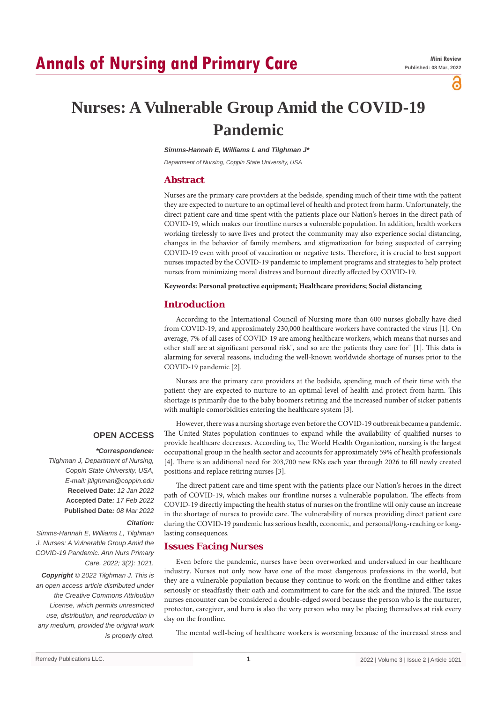# **Annals of Nursing and Primary Care**

്

# **Nurses: A Vulnerable Group Amid the COVID-19 Pandemic**

*Simms-Hannah E, Williams L and Tilghman J\**

*Department of Nursing, Coppin State University, USA*

# **Abstract**

Nurses are the primary care providers at the bedside, spending much of their time with the patient they are expected to nurture to an optimal level of health and protect from harm. Unfortunately, the direct patient care and time spent with the patients place our Nation's heroes in the direct path of COVID-19, which makes our frontline nurses a vulnerable population. In addition, health workers working tirelessly to save lives and protect the community may also experience social distancing, changes in the behavior of family members, and stigmatization for being suspected of carrying COVID‐19 even with proof of vaccination or negative tests. Therefore, it is crucial to best support nurses impacted by the COVID-19 pandemic to implement programs and strategies to help protect nurses from minimizing moral distress and burnout directly affected by COVID-19.

**Keywords: Personal protective equipment; Healthcare providers; Social distancing**

## **Introduction**

According to the International Council of Nursing more than 600 nurses globally have died from COVID-19, and approximately 230,000 healthcare workers have contracted the virus [1]. On average, 7% of all cases of COVID-19 are among healthcare workers, which means that nurses and other staff are at significant personal risk", and so are the patients they care for" [1]. This data is alarming for several reasons, including the well-known worldwide shortage of nurses prior to the COVID-19 pandemic [2].

Nurses are the primary care providers at the bedside, spending much of their time with the patient they are expected to nurture to an optimal level of health and protect from harm. This shortage is primarily due to the baby boomers retiring and the increased number of sicker patients with multiple comorbidities entering the healthcare system [3].

#### **OPEN ACCESS**

#### *\*Correspondence:*

*Tilghman J, Department of Nursing, Coppin State University, USA, E-mail: jtilghman@coppin.edu* **Received Date**: *12 Jan 2022* **Accepted Date***: 17 Feb 2022* **Published Date***: 08 Mar 2022*

### *Citation:*

*Simms-Hannah E, Williams L, Tilghman J. Nurses: A Vulnerable Group Amid the COVID-19 Pandemic. Ann Nurs Primary Care. 2022; 3(2): 1021.*

*Copyright © 2022 Tilghman J. This is an open access article distributed under the Creative Commons Attribution License, which permits unrestricted use, distribution, and reproduction in any medium, provided the original work is properly cited.*

However, there was a nursing shortage even before the COVID-19 outbreak became a pandemic. The United States population continues to expand while the availability of qualified nurses to provide healthcare decreases. According to, The World Health Organization, nursing is the largest occupational group in the health sector and accounts for approximately 59% of health professionals [4]. There is an additional need for 203,700 new RNs each year through 2026 to fill newly created positions and replace retiring nurses [3].

The direct patient care and time spent with the patients place our Nation's heroes in the direct path of COVID-19, which makes our frontline nurses a vulnerable population. The effects from COVID-19 directly impacting the health status of nurses on the frontline will only cause an increase in the shortage of nurses to provide care. The vulnerability of nurses providing direct patient care during the COVID-19 pandemic has serious health, economic, and personal/long-reaching or longlasting consequences.

# **Issues Facing Nurses**

Even before the pandemic, nurses have been overworked and undervalued in our healthcare industry. Nurses not only now have one of the most dangerous professions in the world, but they are a vulnerable population because they continue to work on the frontline and either takes seriously or steadfastly their oath and commitment to care for the sick and the injured. The issue nurses encounter can be considered a double-edged sword because the person who is the nurturer, protector, caregiver, and hero is also the very person who may be placing themselves at risk every day on the frontline.

The mental well-being of healthcare workers is worsening because of the increased stress and